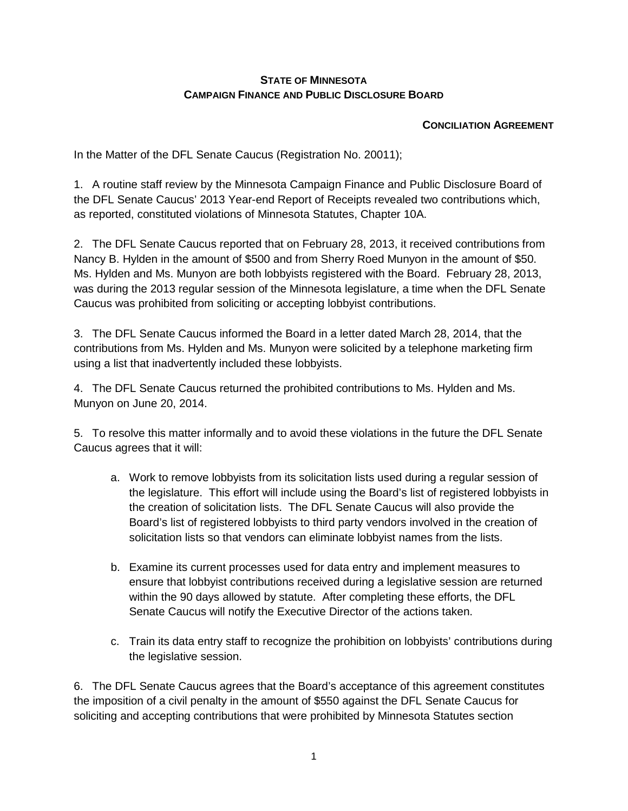## **STATE OF MINNESOTA CAMPAIGN FINANCE AND PUBLIC DISCLOSURE BOARD**

## **CONCILIATION AGREEMENT**

In the Matter of the DFL Senate Caucus (Registration No. 20011);

1. A routine staff review by the Minnesota Campaign Finance and Public Disclosure Board of the DFL Senate Caucus' 2013 Year-end Report of Receipts revealed two contributions which, as reported, constituted violations of Minnesota Statutes, Chapter 10A.

2. The DFL Senate Caucus reported that on February 28, 2013, it received contributions from Nancy B. Hylden in the amount of \$500 and from Sherry Roed Munyon in the amount of \$50. Ms. Hylden and Ms. Munyon are both lobbyists registered with the Board. February 28, 2013, was during the 2013 regular session of the Minnesota legislature, a time when the DFL Senate Caucus was prohibited from soliciting or accepting lobbyist contributions.

3. The DFL Senate Caucus informed the Board in a letter dated March 28, 2014, that the contributions from Ms. Hylden and Ms. Munyon were solicited by a telephone marketing firm using a list that inadvertently included these lobbyists.

4. The DFL Senate Caucus returned the prohibited contributions to Ms. Hylden and Ms. Munyon on June 20, 2014.

5. To resolve this matter informally and to avoid these violations in the future the DFL Senate Caucus agrees that it will:

- a. Work to remove lobbyists from its solicitation lists used during a regular session of the legislature. This effort will include using the Board's list of registered lobbyists in the creation of solicitation lists. The DFL Senate Caucus will also provide the Board's list of registered lobbyists to third party vendors involved in the creation of solicitation lists so that vendors can eliminate lobbyist names from the lists.
- b. Examine its current processes used for data entry and implement measures to ensure that lobbyist contributions received during a legislative session are returned within the 90 days allowed by statute. After completing these efforts, the DFL Senate Caucus will notify the Executive Director of the actions taken.
- c. Train its data entry staff to recognize the prohibition on lobbyists' contributions during the legislative session.

6. The DFL Senate Caucus agrees that the Board's acceptance of this agreement constitutes the imposition of a civil penalty in the amount of \$550 against the DFL Senate Caucus for soliciting and accepting contributions that were prohibited by Minnesota Statutes section